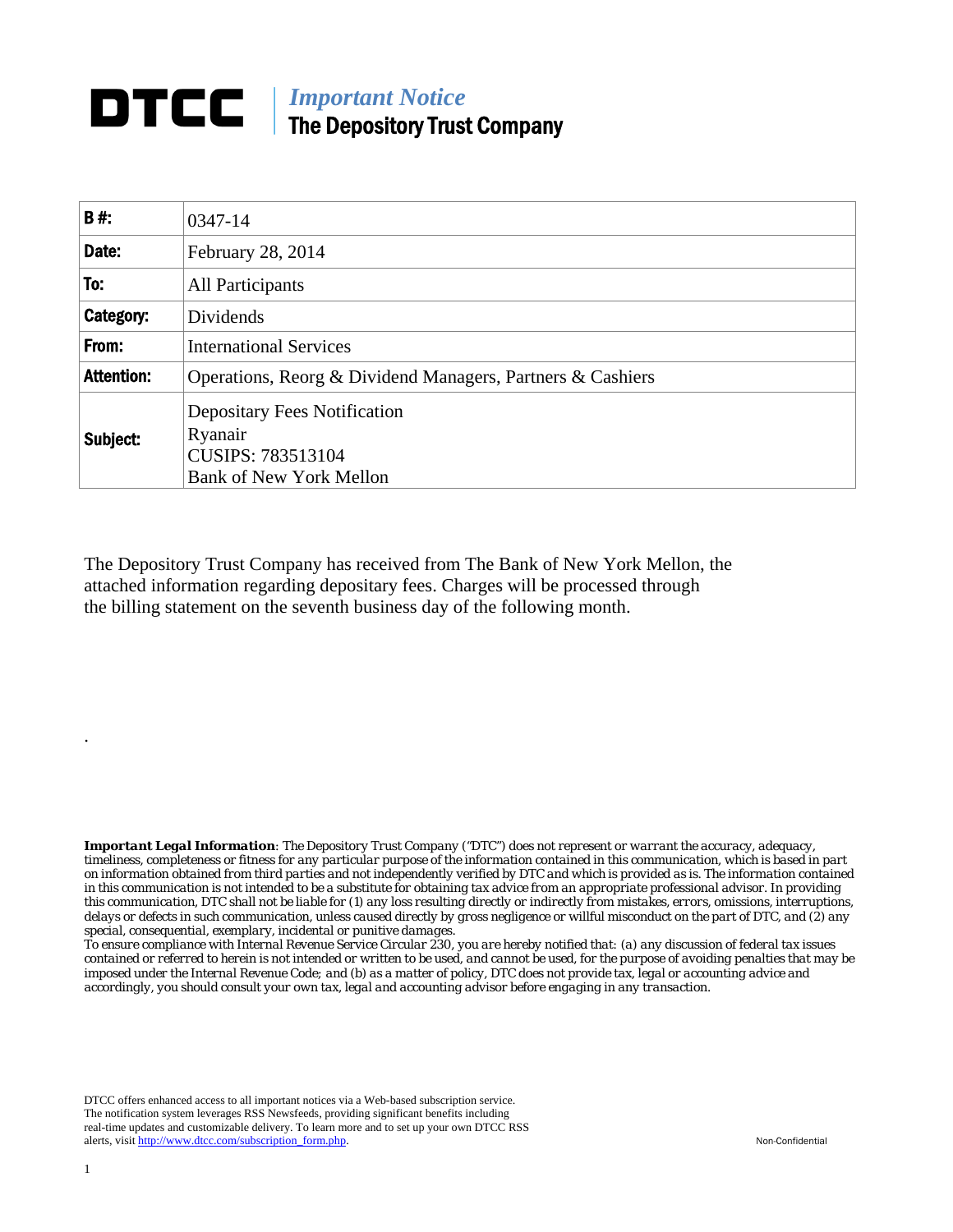## **DTCC** | *Important Notice* The Depository Trust Company

| <b>B#:</b>        | 0347-14                                                                                               |
|-------------------|-------------------------------------------------------------------------------------------------------|
| Date:             | February 28, 2014                                                                                     |
| To:               | All Participants                                                                                      |
| Category:         | Dividends                                                                                             |
| From:             | <b>International Services</b>                                                                         |
| <b>Attention:</b> | Operations, Reorg & Dividend Managers, Partners & Cashiers                                            |
| Subject:          | <b>Depositary Fees Notification</b><br>Ryanair<br>CUSIPS: 783513104<br><b>Bank of New York Mellon</b> |

The Depository Trust Company has received from The Bank of New York Mellon, the attached information regarding depositary fees. Charges will be processed through the billing statement on the seventh business day of the following month.

*Important Legal Information: The Depository Trust Company ("DTC") does not represent or warrant the accuracy, adequacy, timeliness, completeness or fitness for any particular purpose of the information contained in this communication, which is based in part on information obtained from third parties and not independently verified by DTC and which is provided as is. The information contained in this communication is not intended to be a substitute for obtaining tax advice from an appropriate professional advisor. In providing this communication, DTC shall not be liable for (1) any loss resulting directly or indirectly from mistakes, errors, omissions, interruptions, delays or defects in such communication, unless caused directly by gross negligence or willful misconduct on the part of DTC, and (2) any special, consequential, exemplary, incidental or punitive damages.* 

*To ensure compliance with Internal Revenue Service Circular 230, you are hereby notified that: (a) any discussion of federal tax issues contained or referred to herein is not intended or written to be used, and cannot be used, for the purpose of avoiding penalties that may be imposed under the Internal Revenue Code; and (b) as a matter of policy, DTC does not provide tax, legal or accounting advice and accordingly, you should consult your own tax, legal and accounting advisor before engaging in any transaction.*

DTCC offers enhanced access to all important notices via a Web-based subscription service. The notification system leverages RSS Newsfeeds, providing significant benefits including real-time updates and customizable delivery. To learn more and to set up your own DTCC RSS alerts, visit http://www.dtcc.com/subscription\_form.php. Non-Confidential

.